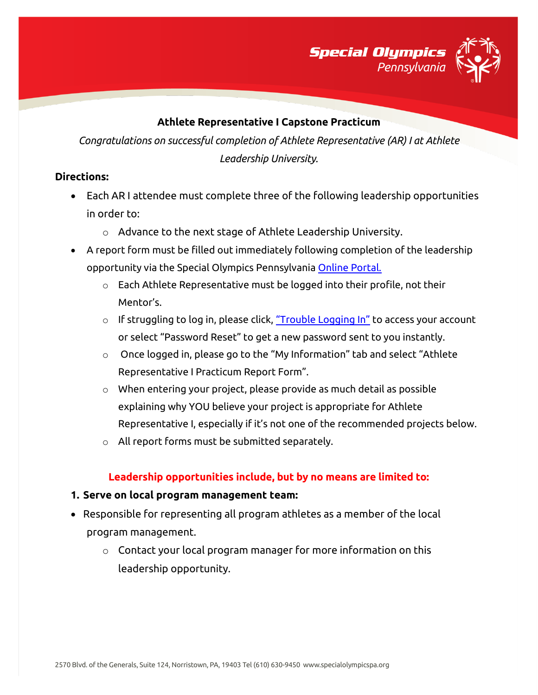

### **Athlete Representative I Capstone Practicum**

*Congratulations on successful completion of Athlete Representative (AR) I at Athlete Leadership University.*

### **Directions:**

- Each AR I attendee must complete three of the following leadership opportunities in order to:
	- o Advance to the next stage of Athlete Leadership University.
- A report form must be filled out immediately following completion of the leadership opportunity via the Special Olympics Pennsylvania [Online Portal.](https://vsys.specialolympicspa.org/) 
	- o Each Athlete Representative must be logged into their profile, not their Mentor's.
	- $\circ$  If struggling to log in, please click, ["Trouble Logging In"](https://vsys.specialolympicspa.org/pages/sendmsg:7AY9IMBYO5QPMJ4F) to access your account or select "Password Reset" to get a new password sent to you instantly.
	- $\circ$  Once logged in, please go to the "My Information" tab and select "Athlete Representative I Practicum Report Form".
	- $\circ$  When entering your project, please provide as much detail as possible explaining why YOU believe your project is appropriate for Athlete Representative I, especially if it's not one of the recommended projects below.
	- o All report forms must be submitted separately.

### **Leadership opportunities include, but by no means are limited to:**

#### **1. Serve on local program management team:**

- Responsible for representing all program athletes as a member of the local program management.
	- $\circ$  Contact your local program manager for more information on this leadership opportunity.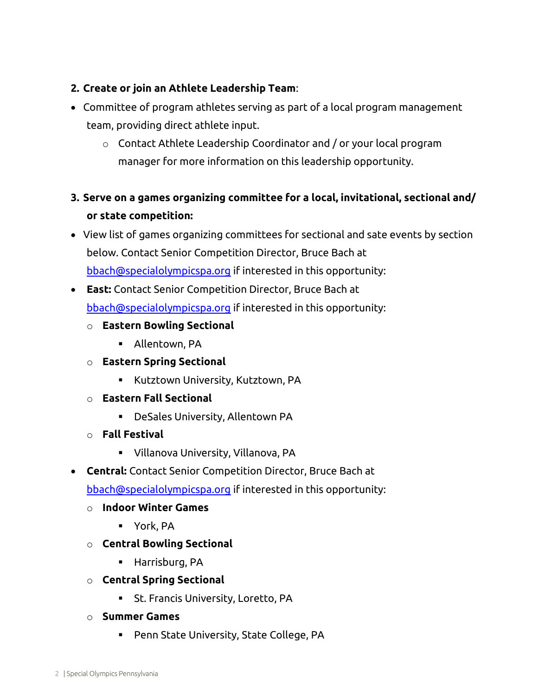# **2. Create or join an Athlete Leadership Team**:

- Committee of program athletes serving as part of a local program management team, providing direct athlete input.
	- o Contact Athlete Leadership Coordinator and / or your local program manager for more information on this leadership opportunity.

# **3. Serve on a games organizing committee for a local, invitational, sectional and/ or state competition:**

- View list of games organizing committees for sectional and sate events by section below. Contact Senior Competition Director, Bruce Bach at [bbach@specialolympicspa.org](mailto:bbach@specialolympicspa.org) if interested in this opportunity:
- **East:** Contact Senior Competition Director, Bruce Bach at [bbach@specialolympicspa.org](mailto:bbach@specialolympicspa.org) if interested in this opportunity:
	- o **Eastern Bowling Sectional**
		- Allentown, PA
	- o **Eastern Spring Sectional**
		- **EXECT** Kutztown University, Kutztown, PA
	- o **Eastern Fall Sectional**
		- DeSales University, Allentown PA
	- o **Fall Festival**
		- Villanova University, Villanova, PA
- **Central:** Contact Senior Competition Director, Bruce Bach at

[bbach@specialolympicspa.org](mailto:bbach@specialolympicspa.org) if interested in this opportunity:

- o **Indoor Winter Games**
	- York, PA
- o **Central Bowling Sectional**
	- **Harrisburg, PA**
- o **Central Spring Sectional**
	- St. Francis University, Loretto, PA
- o **Summer Games**
	- Penn State University, State College, PA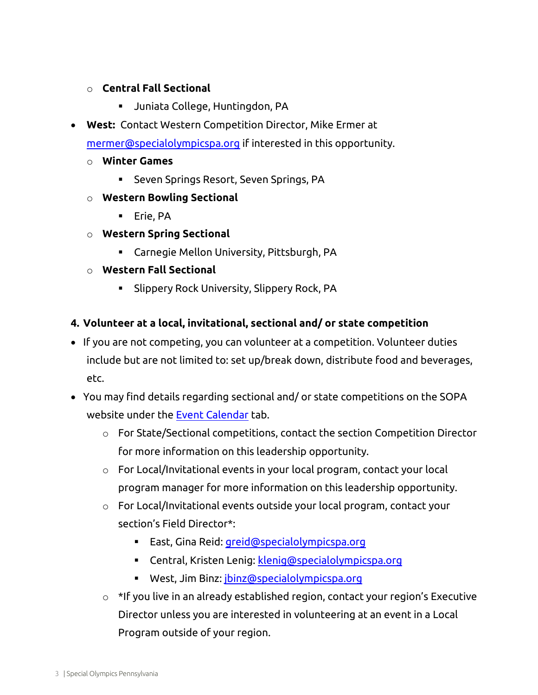# o **Central Fall Sectional**

- Juniata College, Huntingdon, PA
- **West:** Contact Western Competition Director, Mike Ermer at [mermer@specialolympicspa.org](mailto:mermer@specialolympicspa.org) if interested in this opportunity.
	- o **Winter Games**
		- Seven Springs Resort, Seven Springs, PA
	- o **Western Bowling Sectional**
		- **Erie, PA**
	- o **Western Spring Sectional**
		- Carnegie Mellon University, Pittsburgh, PA
	- o **Western Fall Sectional**
		- **Slippery Rock University, Slippery Rock, PA**

#### **4. Volunteer at a local, invitational, sectional and/ or state competition**

- If you are not competing, you can volunteer at a competition. Volunteer duties include but are not limited to: set up/break down, distribute food and beverages, etc.
- You may find details regarding sectional and/ or state competitions on the SOPA website under the [Event Calendar](https://specialolympicspa.org/events/events-calendar) tab.
	- $\circ$  For State/Sectional competitions, contact the section Competition Director for more information on this leadership opportunity.
	- o For Local/Invitational events in your local program, contact your local program manager for more information on this leadership opportunity.
	- o For Local/Invitational events outside your local program, contact your section's Field Director\*:
		- East, Gina Reid: [greid@specialolympicspa.org](mailto:greid@specialolympicspa.org)
		- **EXECENTER:** Central, Kristen Lenig: [klenig@specialolympicspa.org](mailto:klenig@specialolympicspa.org)
		- West, Jim Binz: [jbinz@specialolympicspa.org](mailto:jbinz@specialolympicspa.org)
	- o \*If you live in an already established region, contact your region's Executive Director unless you are interested in volunteering at an event in a Local Program outside of your region.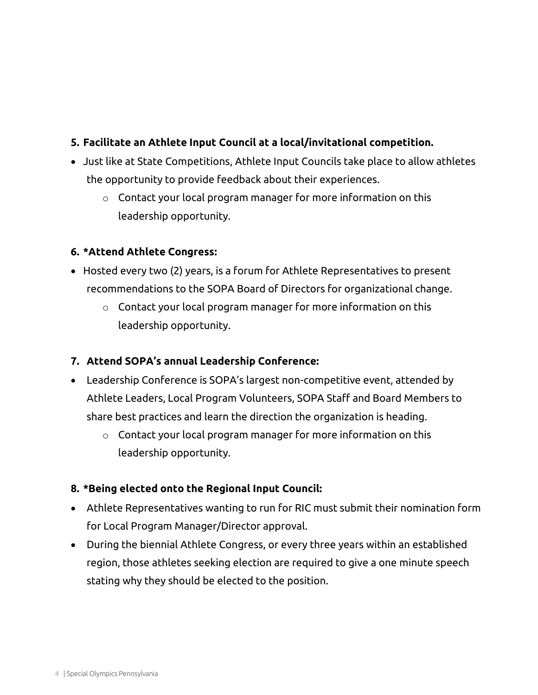# **5. Facilitate an Athlete Input Council at a local/invitational competition.**

- Just like at State Competitions, Athlete Input Councils take place to allow athletes the opportunity to provide feedback about their experiences.
	- o Contact your local program manager for more information on this leadership opportunity.

# **6. \*Attend Athlete Congress:**

- Hosted every two (2) years, is a forum for Athlete Representatives to present recommendations to the SOPA Board of Directors for organizational change.
	- o Contact your local program manager for more information on this leadership opportunity.

# **7. Attend SOPA's annual Leadership Conference:**

- Leadership Conference is SOPA's largest non-competitive event, attended by Athlete Leaders, Local Program Volunteers, SOPA Staff and Board Members to share best practices and learn the direction the organization is heading.
	- $\circ$  Contact your local program manager for more information on this leadership opportunity.

# **8. \*Being elected onto the Regional Input Council:**

- Athlete Representatives wanting to run for RIC must submit their nomination form for Local Program Manager/Director approval.
- During the biennial Athlete Congress, or every three years within an established region, those athletes seeking election are required to give a one minute speech stating why they should be elected to the position.